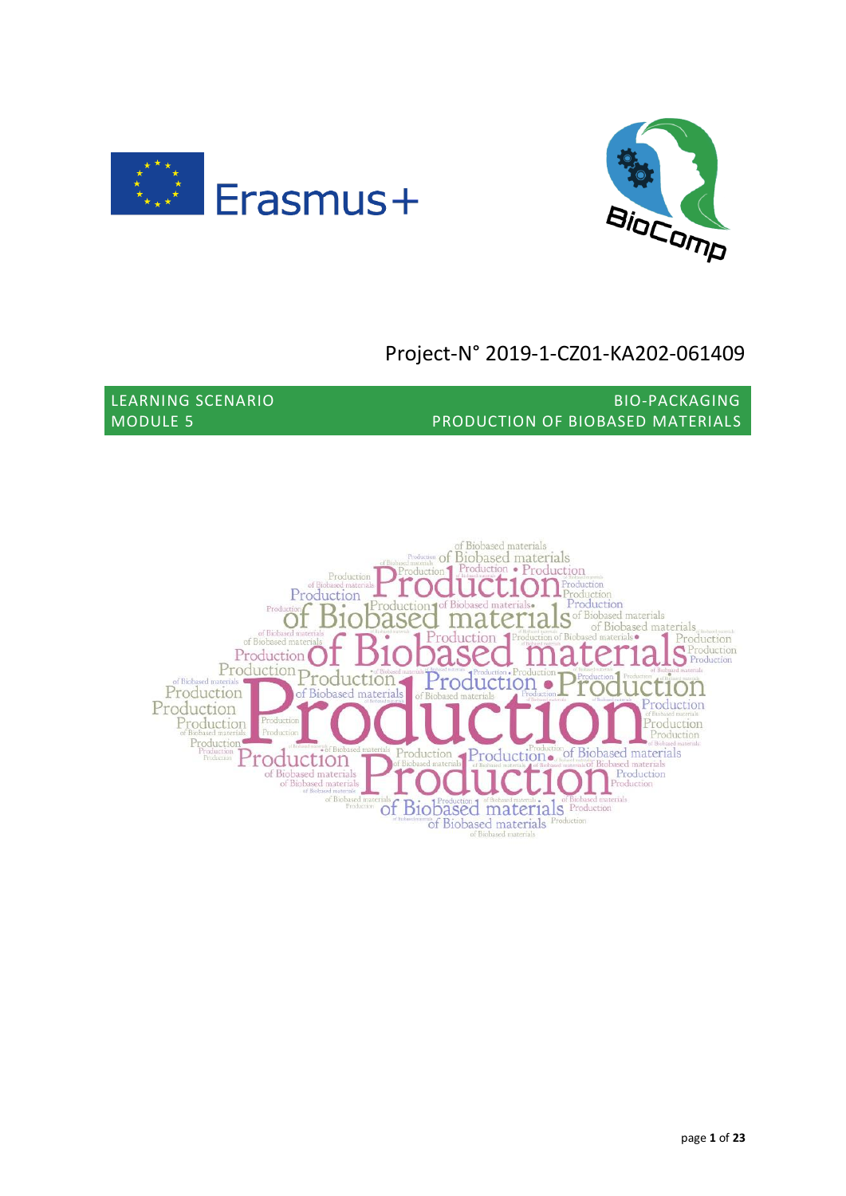



# Project-N° 2019-1-CZ01-KA202-061409

LEARNING SCENARIO BIO-PACKAGING MODULE 5 PRODUCTION OF BIOBASED MATERIALS

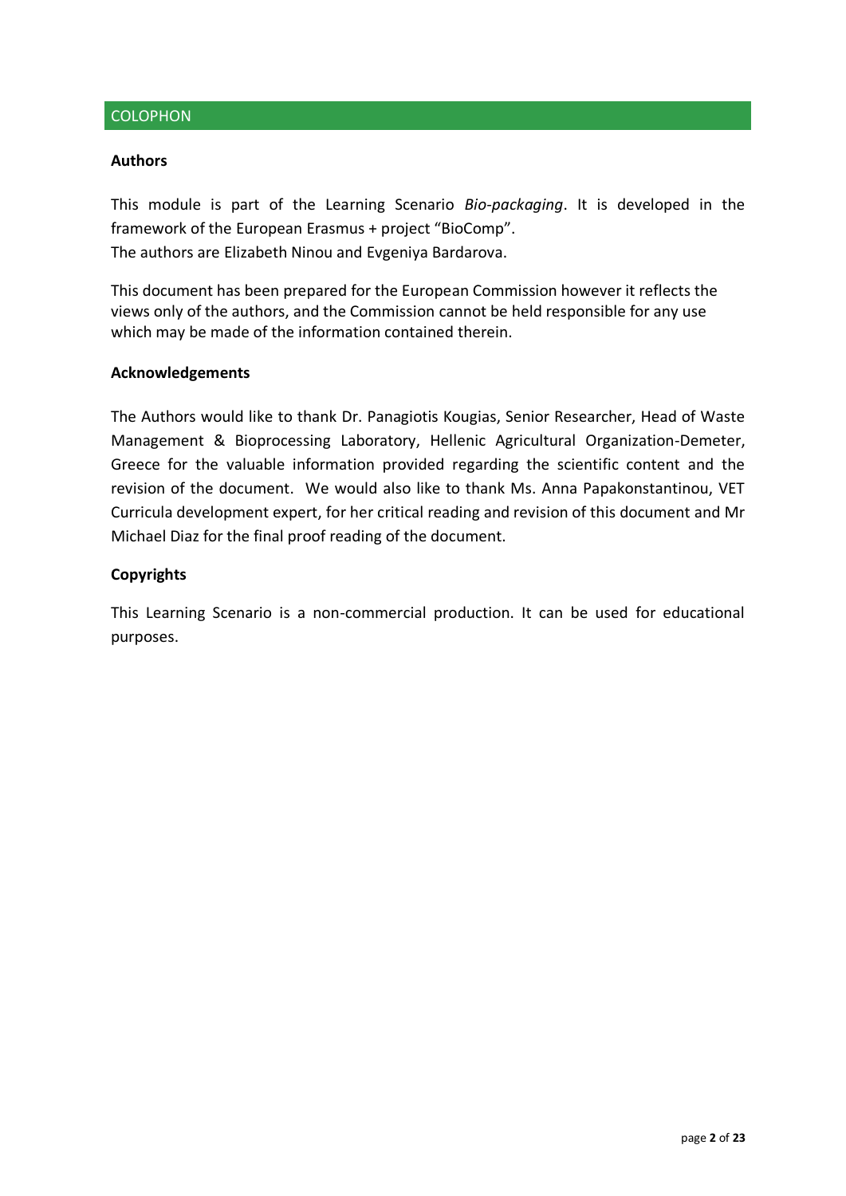#### COLOPHON

#### **Authors**

This module is part of the Learning Scenario *Bio-packaging*. It is developed in the framework of the European Erasmus + project "BioComp". The authors are Elizabeth Ninou and Evgeniya Bardarova.

This document has been prepared for the European Commission however it reflects the views only of the authors, and the Commission cannot be held responsible for any use which may be made of the information contained therein.

#### **Acknowledgements**

The Authors would like to thank Dr. Panagiotis Kougias, Senior Researcher, Head of Waste Management & Bioprocessing Laboratory, Hellenic Agricultural Organization-Demeter, Greece for the valuable information provided regarding the scientific content and the revision of the document. We would also like to thank Ms. Anna Papakonstantinou, VET Curricula development expert, for her critical reading and revision of this document and Mr Michael Diaz for the final proof reading of the document.

#### **Copyrights**

This Learning Scenario is a non-commercial production. It can be used for educational purposes.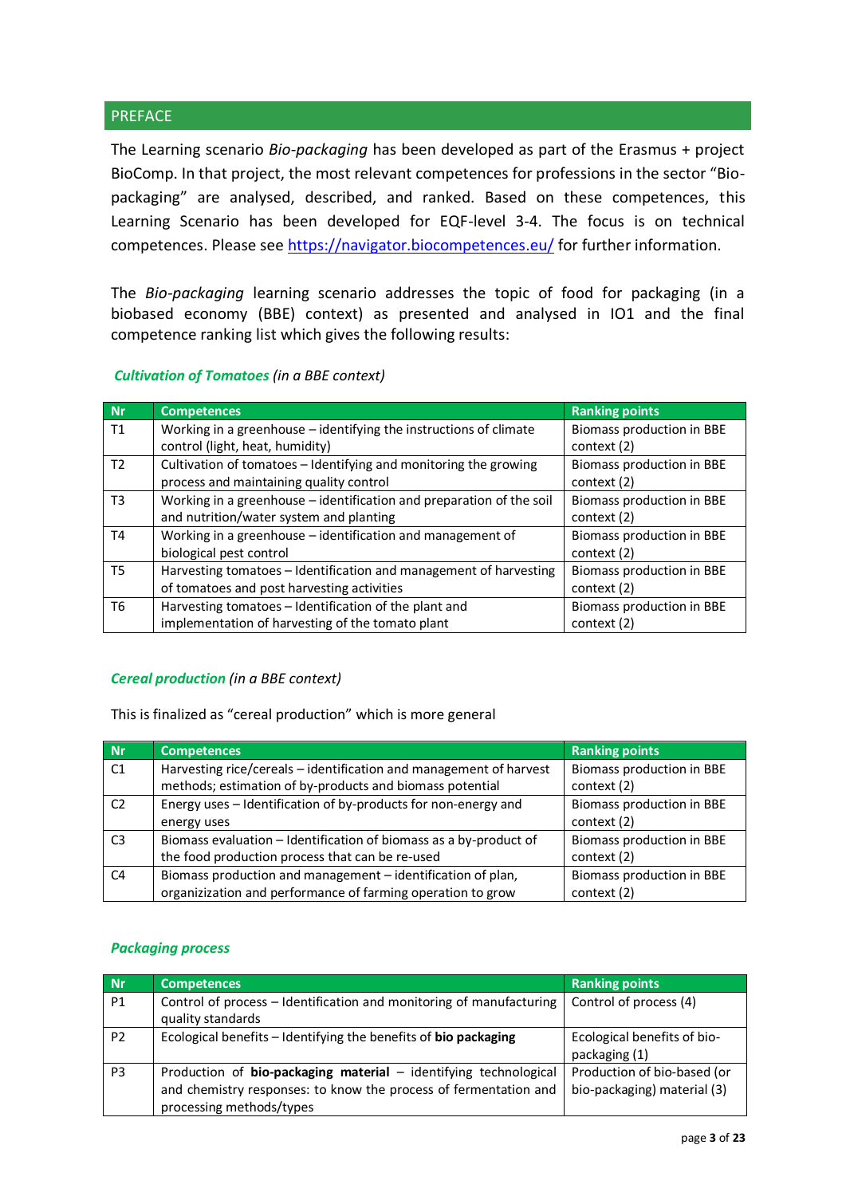#### **PREFACE**

The Learning scenario *Bio-packaging* has been developed as part of the Erasmus + project BioComp. In that project, the most relevant competences for professions in the sector "Biopackaging" are analysed, described, and ranked. Based on these competences, this Learning Scenario has been developed for EQF-level 3-4. The focus is on technical competences. Please see<https://navigator.biocompetences.eu/> for further information.

The *Bio-packaging* learning scenario addresses the topic of food for packaging (in a biobased economy (BBE) context) as presented and analysed in IO1 and the final competence ranking list which gives the following results:

#### *Cultivation of Tomatoes (in a BBE context)*

| <b>Nr</b>      | <b>Competences</b>                                                   | <b>Ranking points</b>     |
|----------------|----------------------------------------------------------------------|---------------------------|
| T1             | Working in a greenhouse $-$ identifying the instructions of climate  | Biomass production in BBE |
|                | control (light, heat, humidity)                                      | context (2)               |
| T <sub>2</sub> | Cultivation of tomatoes - Identifying and monitoring the growing     | Biomass production in BBE |
|                | process and maintaining quality control                              | context (2)               |
| T <sub>3</sub> | Working in a greenhouse - identification and preparation of the soil | Biomass production in BBE |
|                | and nutrition/water system and planting                              | context (2)               |
| T4             | Working in a greenhouse - identification and management of           | Biomass production in BBE |
|                | biological pest control                                              | context (2)               |
| T5             | Harvesting tomatoes - Identification and management of harvesting    | Biomass production in BBE |
|                | of tomatoes and post harvesting activities                           | context (2)               |
| T6             | Harvesting tomatoes - Identification of the plant and                | Biomass production in BBE |
|                | implementation of harvesting of the tomato plant                     | context (2)               |

#### *Cereal production (in a BBE context)*

This is finalized as "cereal production" which is more general

| Nr             | <b>Competences</b>                                                 | <b>Ranking points</b>     |
|----------------|--------------------------------------------------------------------|---------------------------|
| C1             | Harvesting rice/cereals - identification and management of harvest | Biomass production in BBE |
|                | methods; estimation of by-products and biomass potential           | context (2)               |
| C <sub>2</sub> | Energy uses - Identification of by-products for non-energy and     | Biomass production in BBE |
|                | energy uses                                                        | context (2)               |
| C <sub>3</sub> | Biomass evaluation – Identification of biomass as a by-product of  | Biomass production in BBE |
|                | the food production process that can be re-used                    | context (2)               |
| C <sub>4</sub> | Biomass production and management - identification of plan,        | Biomass production in BBE |
|                | organizization and performance of farming operation to grow        | context (2)               |

#### *Packaging process*

| Nr             | Competences                                                                                                                                                      | <b>Ranking points</b>                                      |
|----------------|------------------------------------------------------------------------------------------------------------------------------------------------------------------|------------------------------------------------------------|
| <b>P1</b>      | Control of process - Identification and monitoring of manufacturing<br>quality standards                                                                         | Control of process (4)                                     |
| P <sub>2</sub> | Ecological benefits - Identifying the benefits of bio packaging                                                                                                  | Ecological benefits of bio-<br>packaging (1)               |
| P3             | Production of bio-packaging material - identifying technological<br>and chemistry responses: to know the process of fermentation and<br>processing methods/types | Production of bio-based (or<br>bio-packaging) material (3) |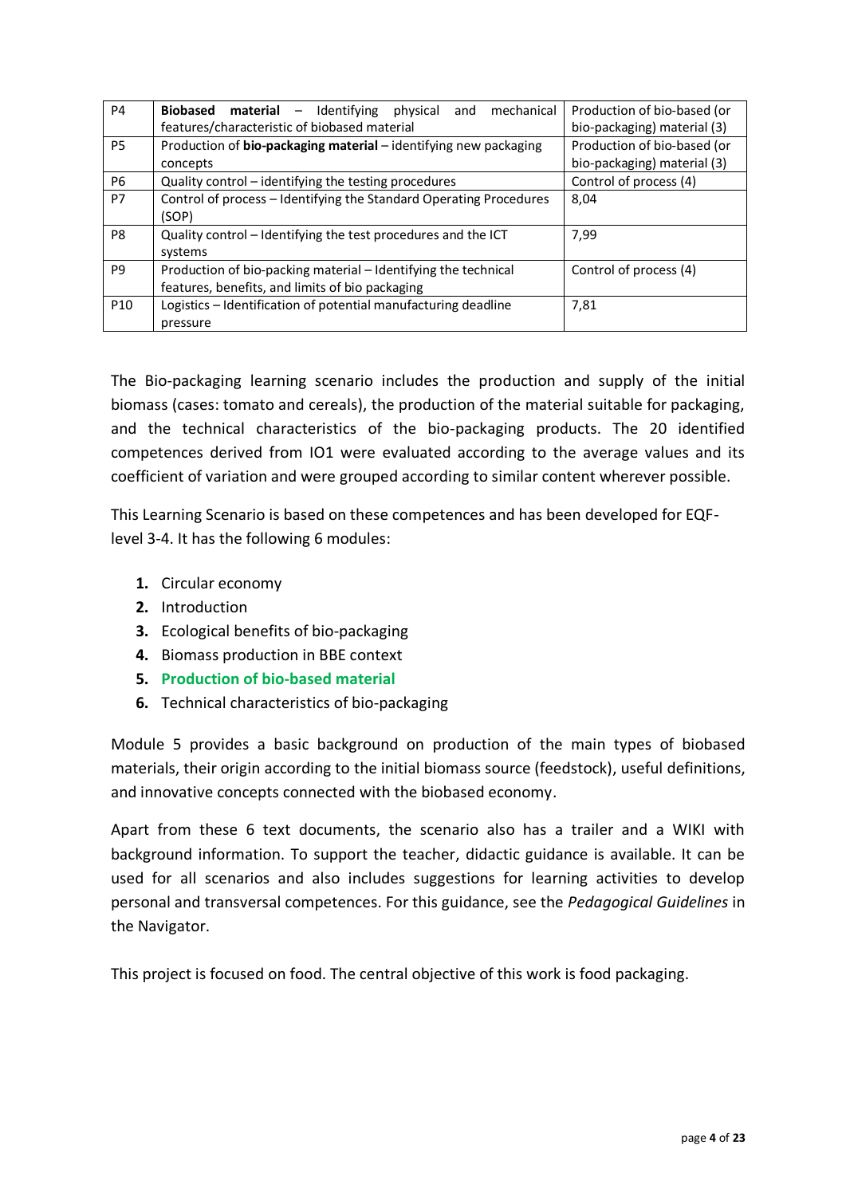| P <sub>4</sub>  | <b>Biobased material</b> $-$ Identifying<br>mechanical<br>physical<br>and<br>features/characteristic of biobased material | Production of bio-based (or<br>bio-packaging) material (3) |
|-----------------|---------------------------------------------------------------------------------------------------------------------------|------------------------------------------------------------|
| P5              | Production of bio-packaging material - identifying new packaging<br>concepts                                              | Production of bio-based (or<br>bio-packaging) material (3) |
| P6              | Quality control - identifying the testing procedures                                                                      | Control of process (4)                                     |
| P7              | Control of process - Identifying the Standard Operating Procedures<br>(SOP)                                               | 8,04                                                       |
| P8              | Quality control - Identifying the test procedures and the ICT<br>systems                                                  | 7,99                                                       |
| P <sub>9</sub>  | Production of bio-packing material – Identifying the technical<br>features, benefits, and limits of bio packaging         | Control of process (4)                                     |
| P <sub>10</sub> | Logistics - Identification of potential manufacturing deadline                                                            | 7,81                                                       |
|                 | pressure                                                                                                                  |                                                            |

The Bio-packaging learning scenario includes the production and supply of the initial biomass (cases: tomato and cereals), the production of the material suitable for packaging, and the technical characteristics of the bio-packaging products. The 20 identified competences derived from IO1 were evaluated according to the average values and its coefficient of variation and were grouped according to similar content wherever possible.

This Learning Scenario is based on these competences and has been developed for EQFlevel 3-4. It has the following 6 modules:

- **1.** Circular economy
- **2.** Introduction
- **3.** Ecological benefits of bio-packaging
- **4.** Biomass production in BBE context
- **5. Production of bio-based material**
- **6.** Technical characteristics of bio-packaging

Module 5 provides a basic background on production of the main types of biobased materials, their origin according to the initial biomass source (feedstock), useful definitions, and innovative concepts connected with the biobased economy.

Apart from these 6 text documents, the scenario also has a trailer and a WIKI with background information. To support the teacher, didactic guidance is available. It can be used for all scenarios and also includes suggestions for learning activities to develop personal and transversal competences. For this guidance, see the *Pedagogical Guidelines* in the Navigator.

This project is focused on food. The central objective of this work is food packaging.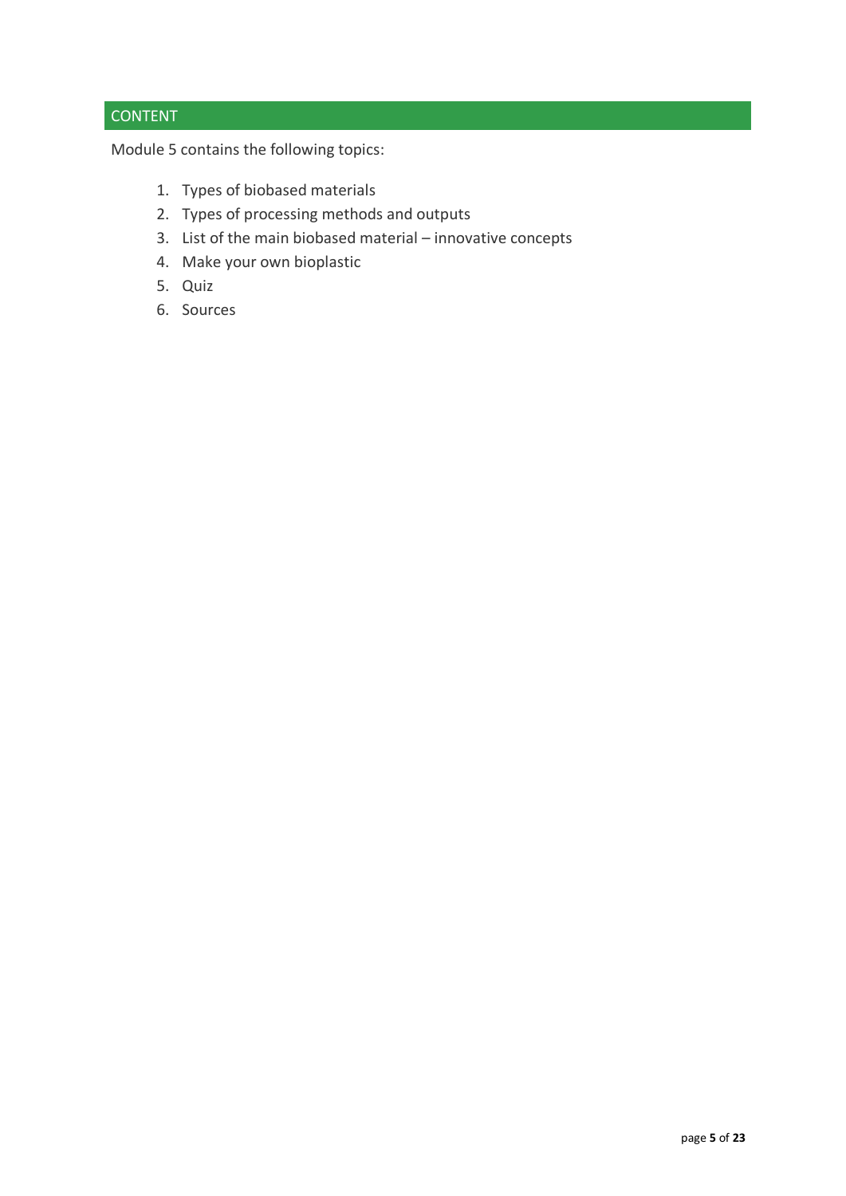## **CONTENT**

Module 5 contains the following topics:

- 1. Types of biobased materials
- 2. Types of processing methods and outputs
- 3. List of the main biobased material innovative concepts
- 4. Make your own bioplastic
- 5. Quiz
- 6. Sources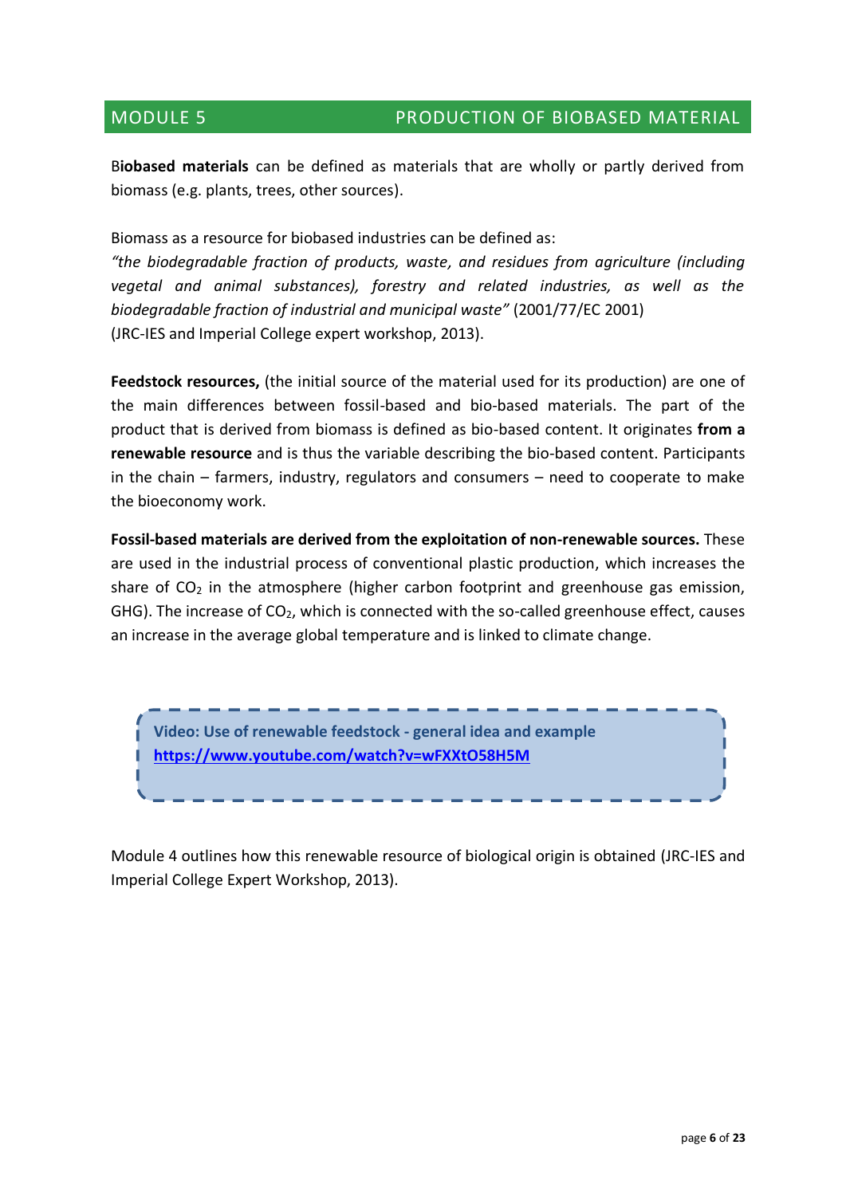B**iobased materials** can be defined as materials that are wholly or partly derived from biomass (e.g. plants, trees, other sources).

Biomass as a resource for biobased industries can be defined as:

*"the biodegradable fraction of products, waste, and residues from agriculture (including vegetal and animal substances), forestry and related industries, as well as the biodegradable fraction of industrial and municipal waste"* (2001/77/EC 2001) (JRC-IES and Imperial College expert workshop, 2013).

**Feedstock resources,** (the initial source of the material used for its production) are one of the main differences between fossil-based and bio-based materials. The part of the product that is derived from biomass is defined as bio-based content. It originates **from a renewable resource** and is thus the variable describing the bio-based content. Participants in the chain – farmers, industry, regulators and consumers – need to cooperate to make the bioeconomy work.

**Fossil-based materials are derived from the exploitation of non-renewable sources.** These are used in the industrial process of conventional plastic production, which increases the share of  $CO<sub>2</sub>$  in the atmosphere (higher carbon footprint and greenhouse gas emission, GHG). The increase of CO<sub>2</sub>, which is connected with the so-called greenhouse effect, causes an increase in the average global temperature and is linked to climate change.



Module 4 outlines how this renewable resource of biological origin is obtained (JRC-IES and Imperial College Expert Workshop, 2013).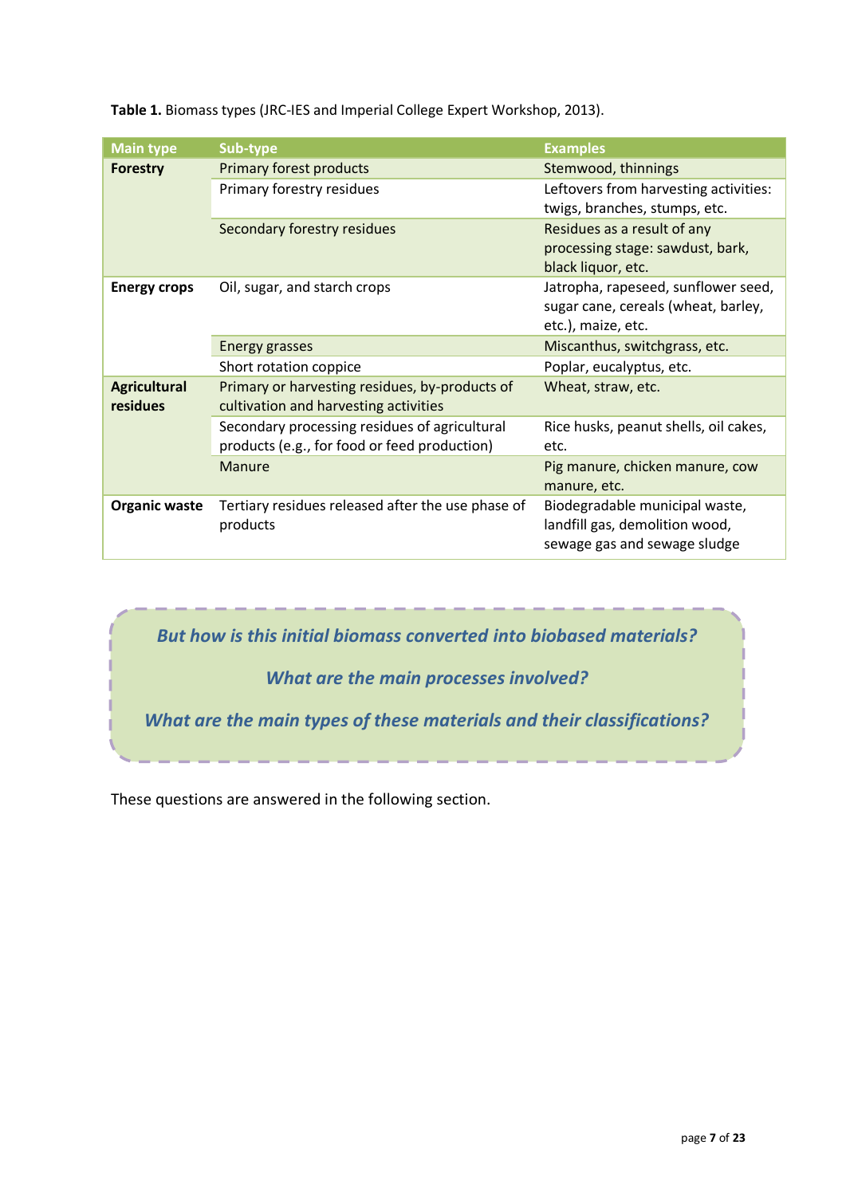**Table 1.** Biomass types (JRC-IES and Imperial College Expert Workshop, 2013).

| <b>Main type</b>     | Sub-type                                          | <b>Examples</b>                       |
|----------------------|---------------------------------------------------|---------------------------------------|
| <b>Forestry</b>      | <b>Primary forest products</b>                    | Stemwood, thinnings                   |
|                      | Primary forestry residues                         | Leftovers from harvesting activities: |
|                      |                                                   | twigs, branches, stumps, etc.         |
|                      | Secondary forestry residues                       | Residues as a result of any           |
|                      |                                                   | processing stage: sawdust, bark,      |
|                      |                                                   | black liquor, etc.                    |
| <b>Energy crops</b>  | Oil, sugar, and starch crops                      | Jatropha, rapeseed, sunflower seed,   |
|                      |                                                   | sugar cane, cereals (wheat, barley,   |
|                      |                                                   | etc.), maize, etc.                    |
|                      | <b>Energy grasses</b>                             | Miscanthus, switchgrass, etc.         |
|                      | Short rotation coppice                            | Poplar, eucalyptus, etc.              |
| <b>Agricultural</b>  | Primary or harvesting residues, by-products of    | Wheat, straw, etc.                    |
| residues             | cultivation and harvesting activities             |                                       |
|                      | Secondary processing residues of agricultural     | Rice husks, peanut shells, oil cakes, |
|                      | products (e.g., for food or feed production)      | etc.                                  |
|                      | Manure                                            | Pig manure, chicken manure, cow       |
|                      |                                                   | manure, etc.                          |
| <b>Organic waste</b> | Tertiary residues released after the use phase of | Biodegradable municipal waste,        |
|                      | products                                          | landfill gas, demolition wood,        |
|                      |                                                   | sewage gas and sewage sludge          |

*But how is this initial biomass converted into biobased materials?*

*What are the main processes involved?*

*What are the main types of these materials and their classifications?*

These questions are answered in the following section.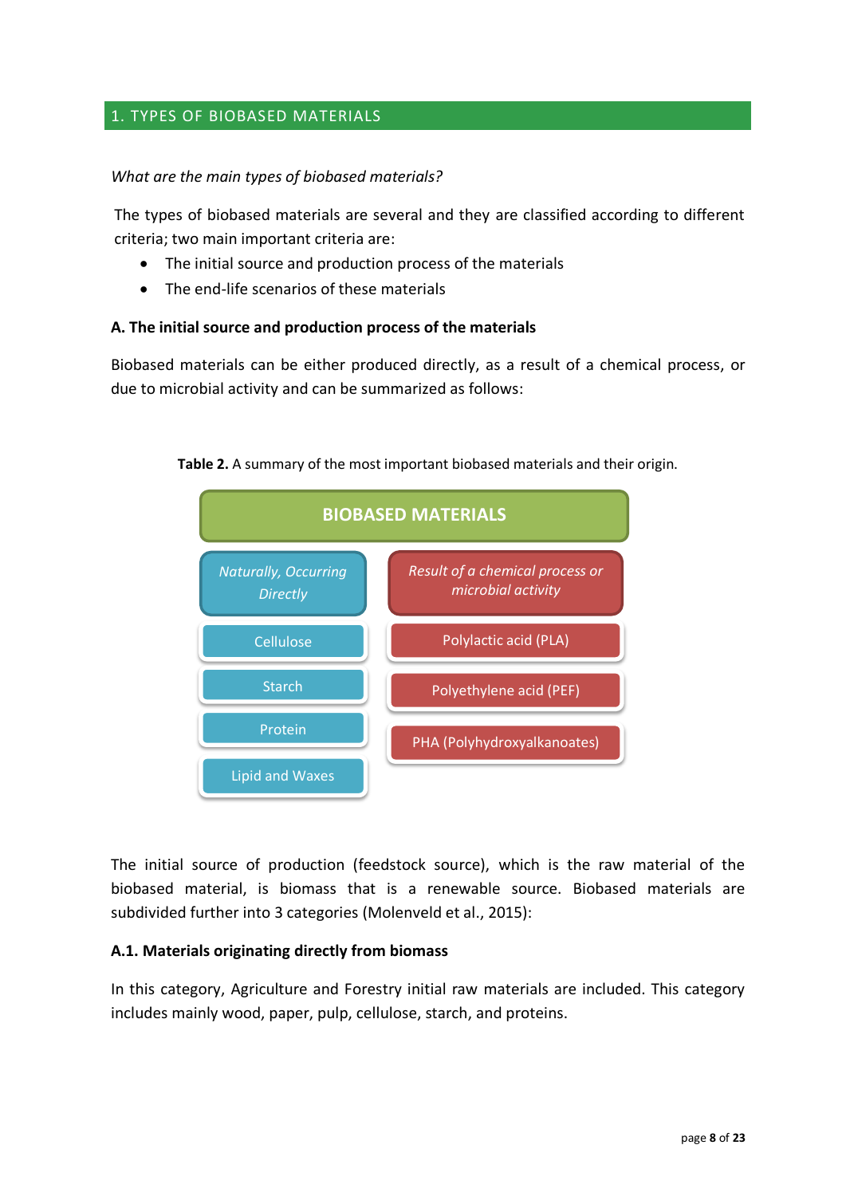#### 1. TYPES OF BIOBASED MATERIALS

#### *What are the main types of biobased materials?*

The types of biobased materials are several and they are classified according to different criteria; two main important criteria are:

- The initial source and production process of the materials
- The end-life scenarios of these materials

#### **A. The initial source and production process of the materials**

Biobased materials can be either produced directly, as a result of a chemical process, or due to microbial activity and can be summarized as follows:



**Table 2.** A summary of the most important biobased materials and their origin.

The initial source of production (feedstock source), which is the raw material of the biobased material, is biomass that is a renewable source. Biobased materials are subdivided further into 3 categories (Molenveld et al., 2015):

#### **A.1. Materials originating directly from biomass**

In this category, Agriculture and Forestry initial raw materials are included. This category includes mainly wood, paper, pulp, cellulose, starch, and proteins.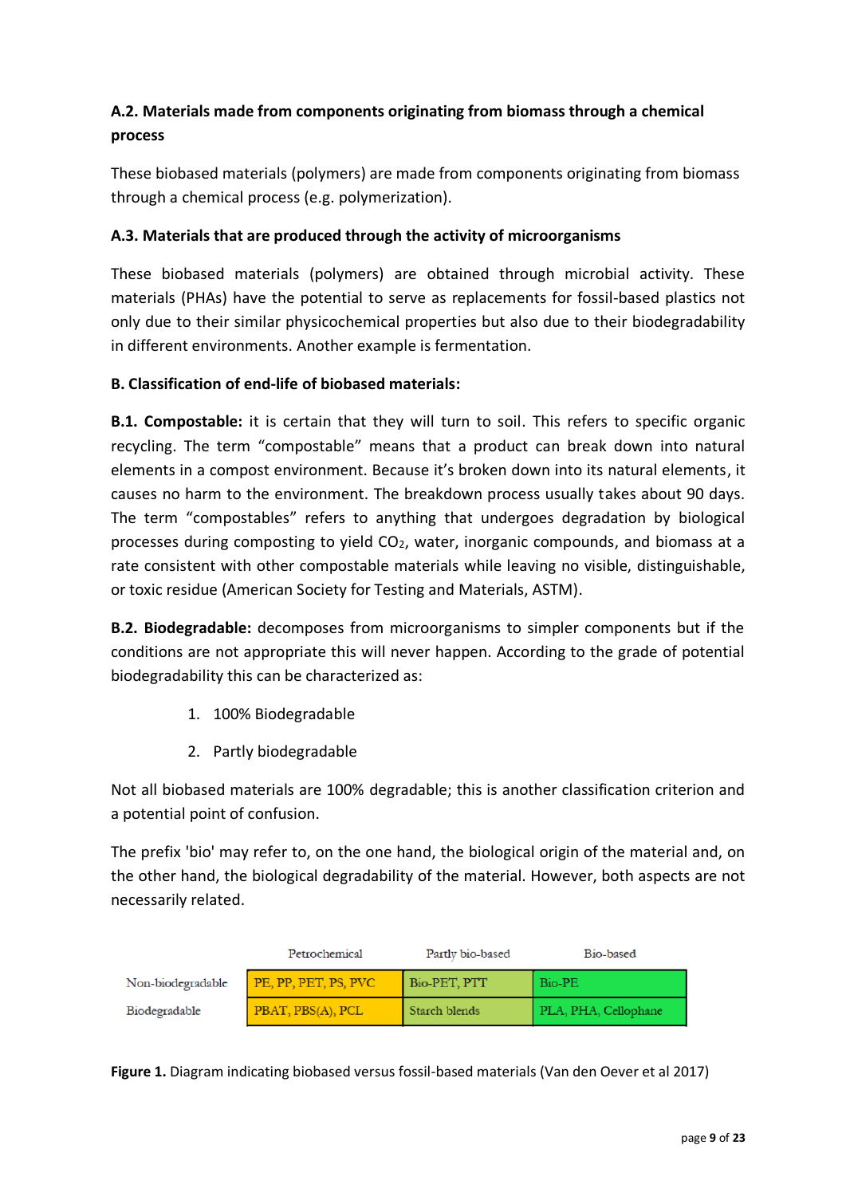### **A.2. Materials made from components originating from biomass through a chemical process**

These biobased materials (polymers) are made from components originating from biomass through a chemical process (e.g. polymerization).

#### **A.3. Materials that are produced through the activity of microorganisms**

These biobased materials (polymers) are obtained through microbial activity. These materials (PHAs) have the potential to serve as replacements for fossil-based plastics not only due to their similar physicochemical properties but also due to their biodegradability in different environments. Another example is fermentation.

#### **B. Classification of end-life of biobased materials:**

**B.1. Compostable:** it is certain that they will turn to soil. This refers to specific organic recycling. The term "compostable" means that a product can break down into natural elements in a compost environment. Because it's broken down into its natural elements, it causes no harm to the environment. The breakdown process usually takes about 90 days. The term "compostables" refers to anything that undergoes degradation by biological processes during composting to yield  $CO<sub>2</sub>$ , water, inorganic compounds, and biomass at a rate consistent with other compostable materials while leaving no visible, distinguishable, or toxic residue [\(American Society for Testing and Materials, ASTM\).](https://www.astm.org/)

**B.2. Biodegradable:** decomposes from microorganisms to simpler components but if the conditions are not appropriate this will never happen. According to the grade of potential biodegradability this can be characterized as:

- 1. 100% Biodegradable
- 2. Partly biodegradable

Not all biobased materials are 100% degradable; this is another classification criterion and a potential point of confusion.

The prefix 'bio' may refer to, on the one hand, the biological origin of the material and, on the other hand, the biological degradability of the material. However, both aspects are not necessarily related.

|                   | Petrochemical        | Partly bio-based | Bio-based            |
|-------------------|----------------------|------------------|----------------------|
| Non-biodegradable | PE, PP, PET, PS, PVC | Bio-PET, PTT     | Bio-PE               |
| Biodegradable     | PBAT, PBS(A), PCL    | Starch blends    | PLA, PHA, Cellophane |

**Figure 1.** Diagram indicating biobased versus fossil-based materials (Van den Oever et al 2017)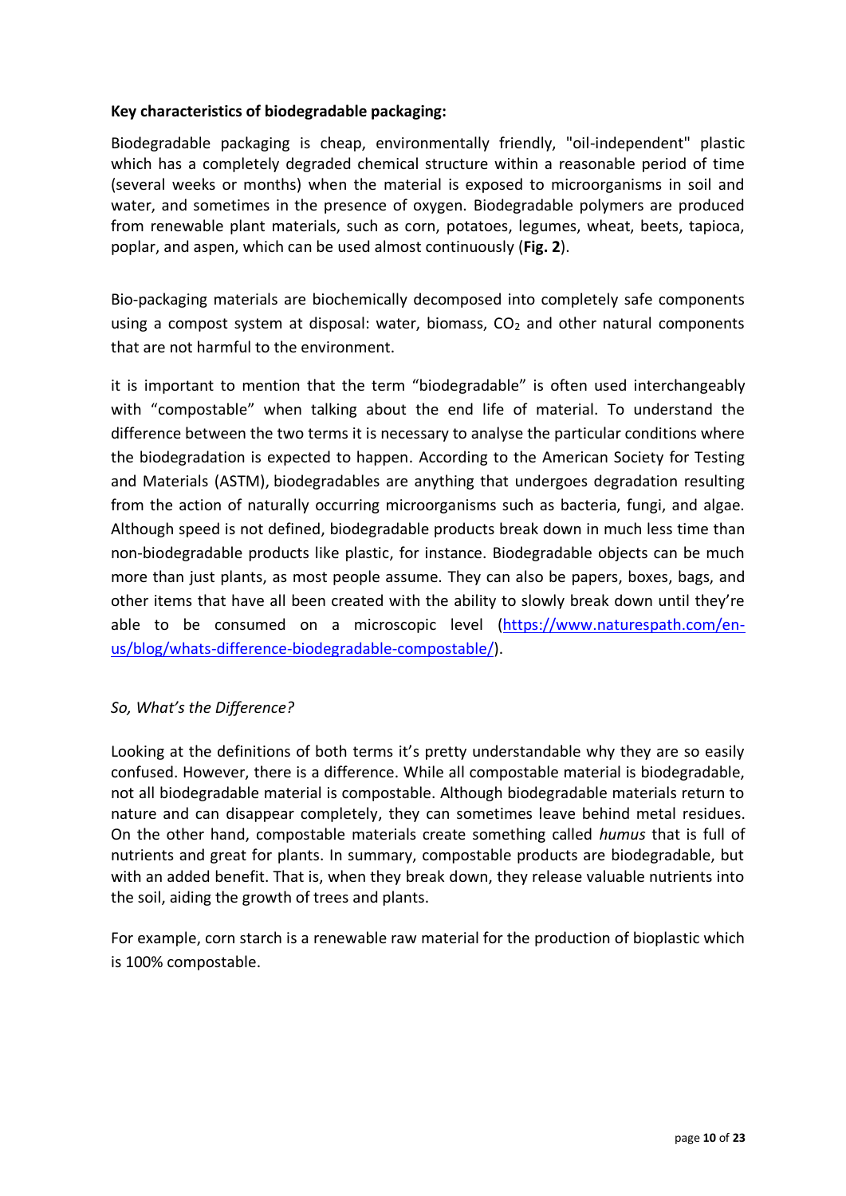#### **Key characteristics of biodegradable packaging:**

Biodegradable packaging is cheap, environmentally friendly, "oil-independent" plastic which has a completely degraded chemical structure within a reasonable period of time (several weeks or months) when the material is exposed to microorganisms in soil and water, and sometimes in the presence of oxygen. Biodegradable polymers are produced from renewable plant materials, such as corn, potatoes, legumes, wheat, beets, tapioca, poplar, and aspen, which can be used almost continuously (**Fig. 2**).

Bio-packaging materials are biochemically decomposed into completely safe components using a compost system at disposal: water, biomass,  $CO<sub>2</sub>$  and other natural components that are not harmful to the environment.

it is important to mention that the term "biodegradable" is often used interchangeably with "compostable" when talking about the end life of material. To understand the difference between the two terms it is necessary to analyse the particular conditions where the biodegradation is expected to happen. According to the American Society for Testing and Materials (ASTM), biodegradables are anything that undergoes degradation resulting from the action of naturally occurring microorganisms such as bacteria, fungi, and algae. Although speed is not defined, biodegradable products break down in much less time than non-biodegradable products like plastic, for instance. Biodegradable objects can be much more than just plants, as most people assume. They can also be papers, boxes, bags, and other items that have all been created with the ability to slowly break down until they're able to be consumed on a microscopic level [\(https://www.naturespath.com/en](https://www.naturespath.com/en-us/blog/whats-difference-biodegradable-compostable/)[us/blog/whats-difference-biodegradable-compostable/\)](https://www.naturespath.com/en-us/blog/whats-difference-biodegradable-compostable/).

#### *So, What's the Difference?*

Looking at the definitions of both terms it's pretty understandable why they are so easily confused. However, there is a difference. While all compostable material is biodegradable, not all biodegradable material is compostable. Although biodegradable materials return to nature and can disappear completely, they can sometimes leave behind metal residues. On the other hand, compostable materials create something called *humus* that is full of nutrients and great for plants. In summary, compostable products are biodegradable, but with an added benefit. That is, when they break down, they release valuable nutrients into the soil, aiding the growth of trees and plants.

For example, corn starch is a renewable raw material for the production of bioplastic which is 100% compostable.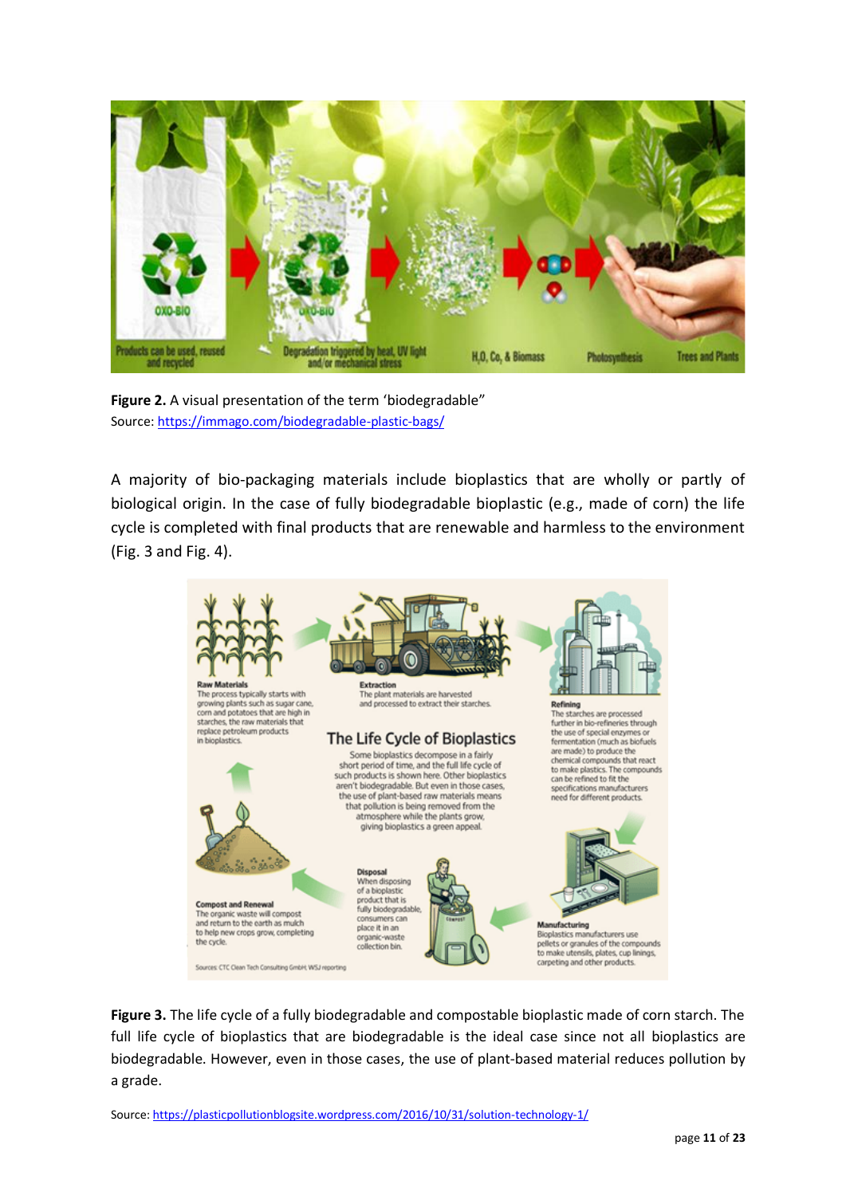

**Figure 2.** A visual presentation of the term 'biodegradable" Source[: https://immago.com/biodegradable-plastic-bags/](https://immago.com/biodegradable-plastic-bags/)

A majority of bio-packaging materials include bioplastics that are wholly or partly of biological origin. In the case of fully biodegradable bioplastic (e.g., made of corn) the life cycle is completed with final products that are renewable and harmless to the environment (Fig. 3 and Fig. 4).



**Figure 3.** The life cycle of a fully biodegradable and compostable bioplastic made of corn starch. The full life cycle of bioplastics that are biodegradable is the ideal case since not all bioplastics are biodegradable. However, even in those cases, the use of plant-based material reduces pollution by a grade.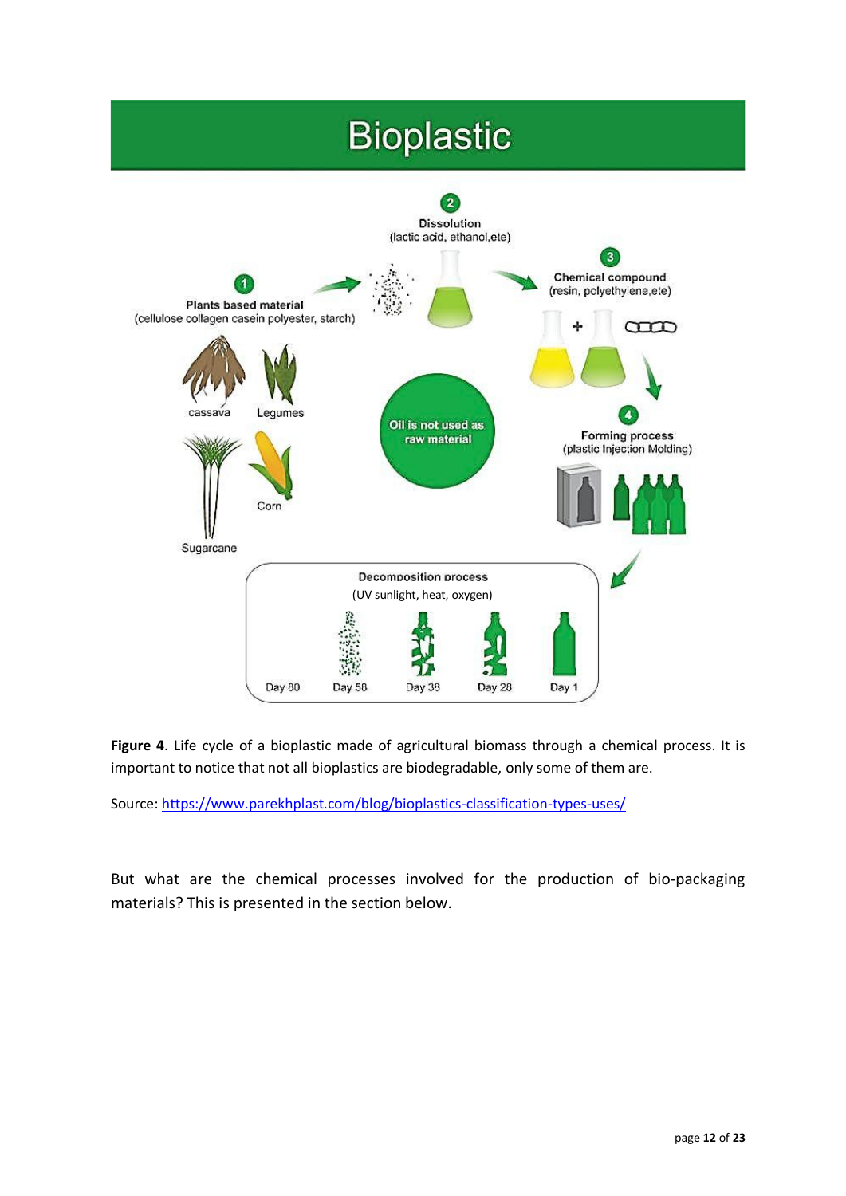# **Bioplastic**



**Figure 4**. Life cycle of a bioplastic made of agricultural biomass through a chemical process. It is important to notice that not all bioplastics are biodegradable, only some of them are.

Source: <https://www.parekhplast.com/blog/bioplastics-classification-types-uses/>

But what are the chemical processes involved for the production of bio-packaging materials? This is presented in the section below.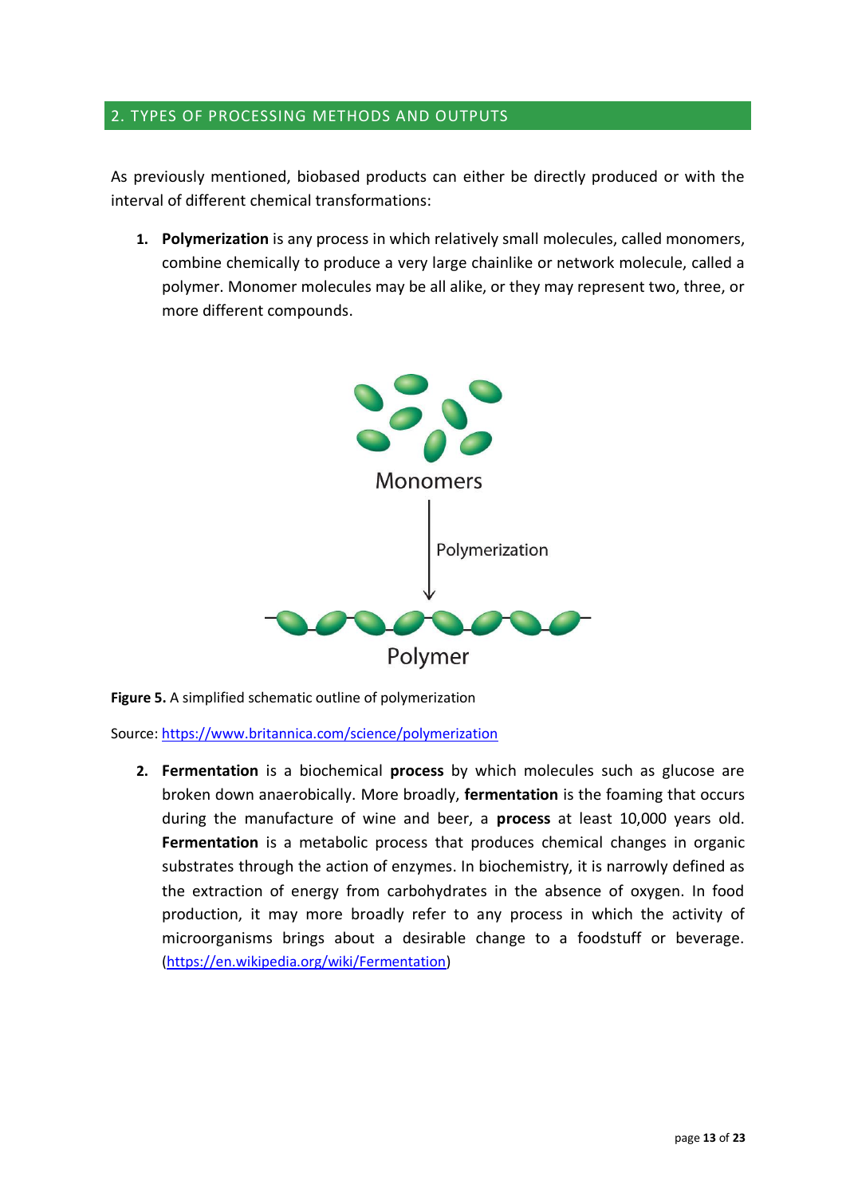#### 2. TYPES OF PROCESSING METHODS AND OUTPUTS

As previously mentioned, biobased products can either be directly produced or with the interval of different chemical transformations:

**1. Polymerization** is any process in which relatively small [molecules,](https://www.britannica.com/science/molecule) calle[d monomers,](https://www.britannica.com/science/monomer) combine chemically to produce a very large chainlike or network molecule, called a [polymer.](https://www.britannica.com/science/polymer) [Monomer](https://www.britannica.com/science/monomer) molecules may be all alike, or they may represent two, three, or more different [compounds.](https://www.merriam-webster.com/dictionary/compounds)



**Figure 5.** A simplified schematic outline of polymerization

Source:<https://www.britannica.com/science/polymerization>

**2. Fermentation** is a biochemical **process** by which molecules such as glucose are broken down anaerobically. More broadly, **fermentation** is the foaming that occurs during the manufacture of wine and beer, a **process** at least 10,000 years old. **Fermentation** is a metabolic process that produces chemical changes in organic substrates through the action of enzymes. In biochemistry, it is narrowly defined as the extraction of energy from carbohydrates in the absence of oxygen. In food production, it may more broadly refer to any process in which the activity of microorganisms brings about a desirable change to a foodstuff or beverage. [\(https://en.wikipedia.org/wiki/Fermentation\)](https://en.wikipedia.org/wiki/Fermentation)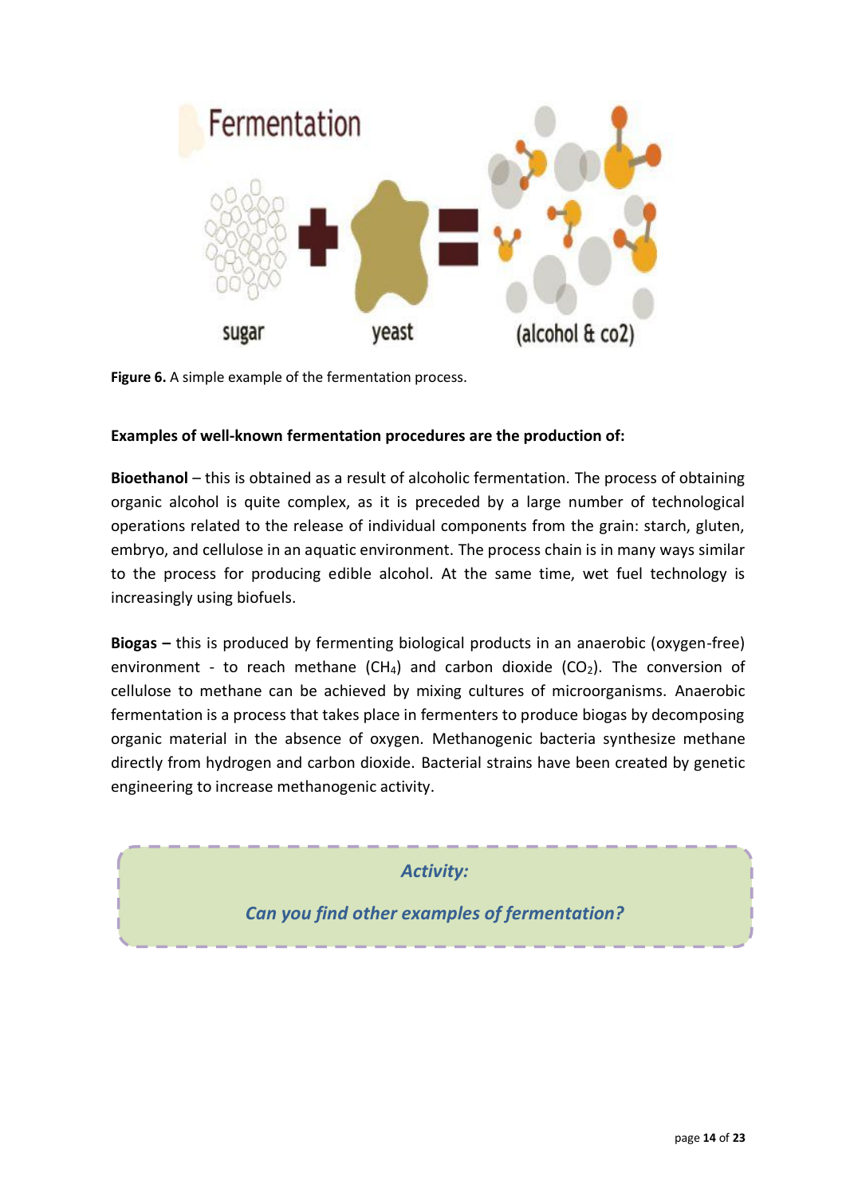

**Figure 6.** A simple example of the fermentation process.

#### **Examples of well-known fermentation procedures are the production of:**

**Bioethanol** – this is obtained as a result of alcoholic fermentation. The process of obtaining organic alcohol is quite complex, as it is preceded by a large number of technological operations related to the release of individual components from the grain: starch, gluten, embryo, and cellulose in an aquatic environment. The process chain is in many ways similar to the process for producing edible alcohol. At the same time, wet fuel technology is increasingly using biofuels.

**Biogas –** this is produced by fermenting biological products in an anaerobic (oxygen-free) environment - to reach methane (CH<sub>4</sub>) and carbon dioxide (CO<sub>2</sub>). The conversion of cellulose to methane can be achieved by mixing cultures of microorganisms. Anaerobic fermentation is a process that takes place in fermenters to produce biogas by decomposing organic material in the absence of oxygen. Methanogenic bacteria synthesize methane directly from hydrogen and carbon dioxide. Bacterial strains have been created by genetic engineering to increase methanogenic activity.

*Activity:*

*Can you find other examples of fermentation?*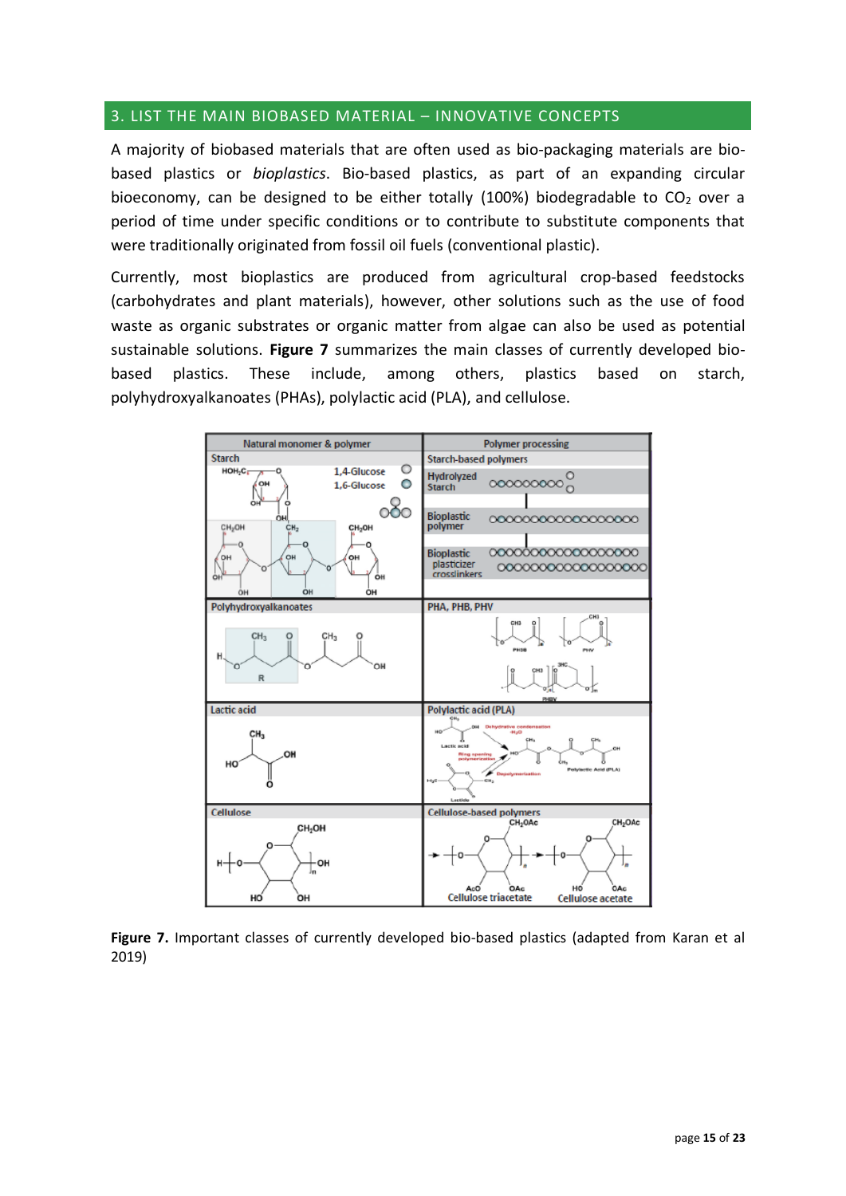#### 3. LIST THE MAIN BIOBASED MATERIAL – INNOVATIVE CONCEPTS

A majority of biobased materials that are often used as bio-packaging materials are biobased plastics or *bioplastics*. Bio-based plastics, as part of an expanding circular bioeconomy, can be designed to be either totally (100%) biodegradable to  $CO<sub>2</sub>$  over a period of time under specific conditions or to contribute to substitute components that were traditionally originated from fossil oil fuels (conventional plastic).

Currently, most bioplastics are produced from agricultural crop-based feedstocks (carbohydrates and plant materials), however, other solutions such as the use of food waste as organic substrates or organic matter from algae can also be used as potential sustainable solutions. **Figure 7** summarizes the main classes of currently developed biobased plastics. These include, among others, plastics based on starch, polyhydroxyalkanoates (PHAs), polylactic acid (PLA), and cellulose.



**Figure 7.** Important classes of currently developed bio-based plastics (adapted from Karan et al 2019)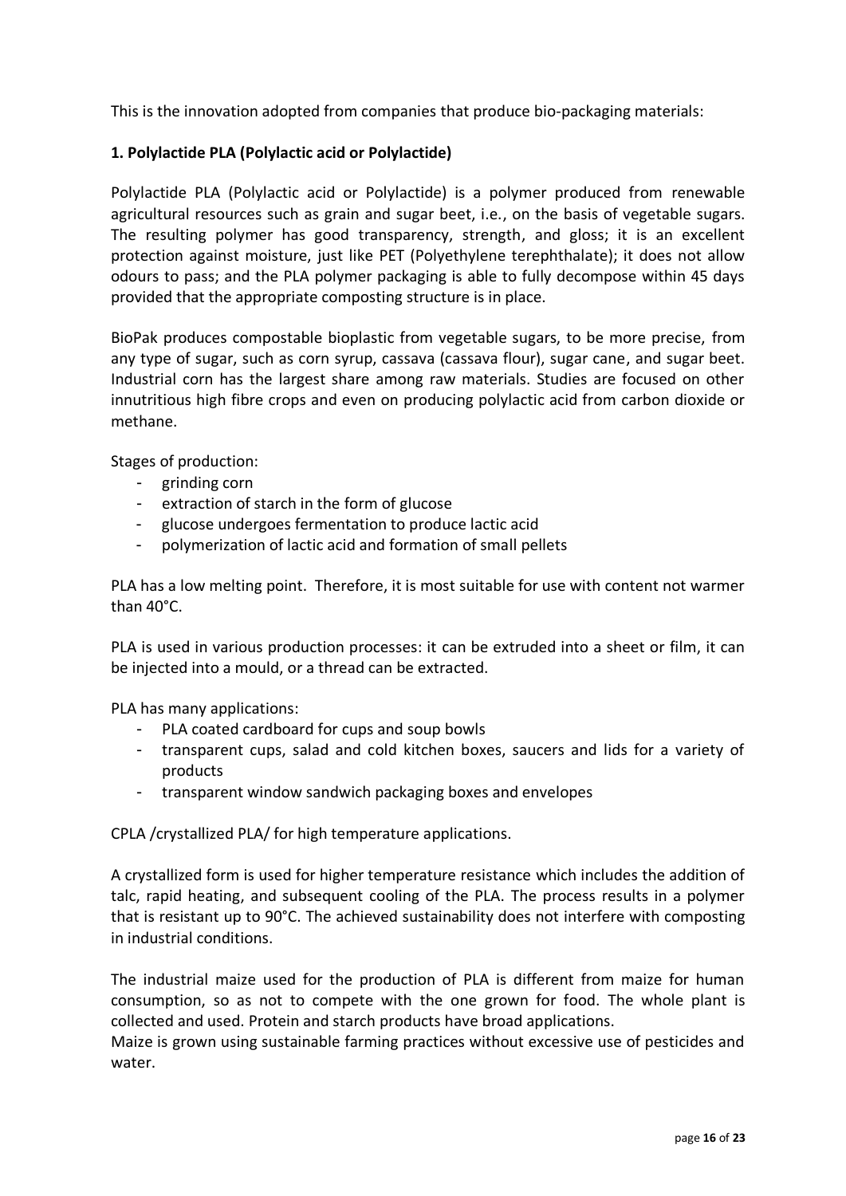This is the innovation adopted from companies that produce bio-packaging materials:

#### **1. Polylactide PLA (Polylactic acid or Polylactide)**

Polylactide PLA (Polylactic acid or Polylactide) is a polymer produced from renewable agricultural resources such as grain and sugar beet, i.e., on the basis of vegetable sugars. The resulting polymer has good transparency, strength, and gloss; it is an excellent protection against moisture, just like PET (Polyethylene terephthalate); it does not allow odours to pass; and the PLA polymer packaging is able to fully decompose within 45 days provided that the appropriate composting structure is in place.

BioPak produces compostable bioplastic from vegetable sugars, to be more precise, from any type of sugar, such as corn syrup, cassava (cassava flour), sugar cane, and sugar beet. Industrial corn has the largest share among raw materials. Studies are focused on other innutritious high fibre crops and even on producing polylactic acid from carbon dioxide or methane.

Stages of production:

- grinding corn
- extraction of starch in the form of glucose
- glucose undergoes fermentation to produce lactic acid
- polymerization of lactic acid and formation of small pellets

PLA has a low melting point. Therefore, it is most suitable for use with content not warmer than 40°C.

PLA is used in various production processes: it can be extruded into a sheet or film, it can be injected into a mould, or a thread can be extracted.

PLA has many applications:

- PLA coated cardboard for cups and soup bowls
- transparent cups, salad and cold kitchen boxes, saucers and lids for a variety of products
- transparent window sandwich packaging boxes and envelopes

CPLA /crystallized PLA/ for high temperature applications.

A crystallized form is used for higher temperature resistance which includes the addition of talc, rapid heating, and subsequent cooling of the PLA. The process results in a polymer that is resistant up to 90°C. The achieved sustainability does not interfere with composting in industrial conditions.

The industrial maize used for the production of PLA is different from maize for human consumption, so as not to compete with the one grown for food. The whole plant is collected and used. Protein and starch products have broad applications.

Maize is grown using sustainable farming practices without excessive use of pesticides and water.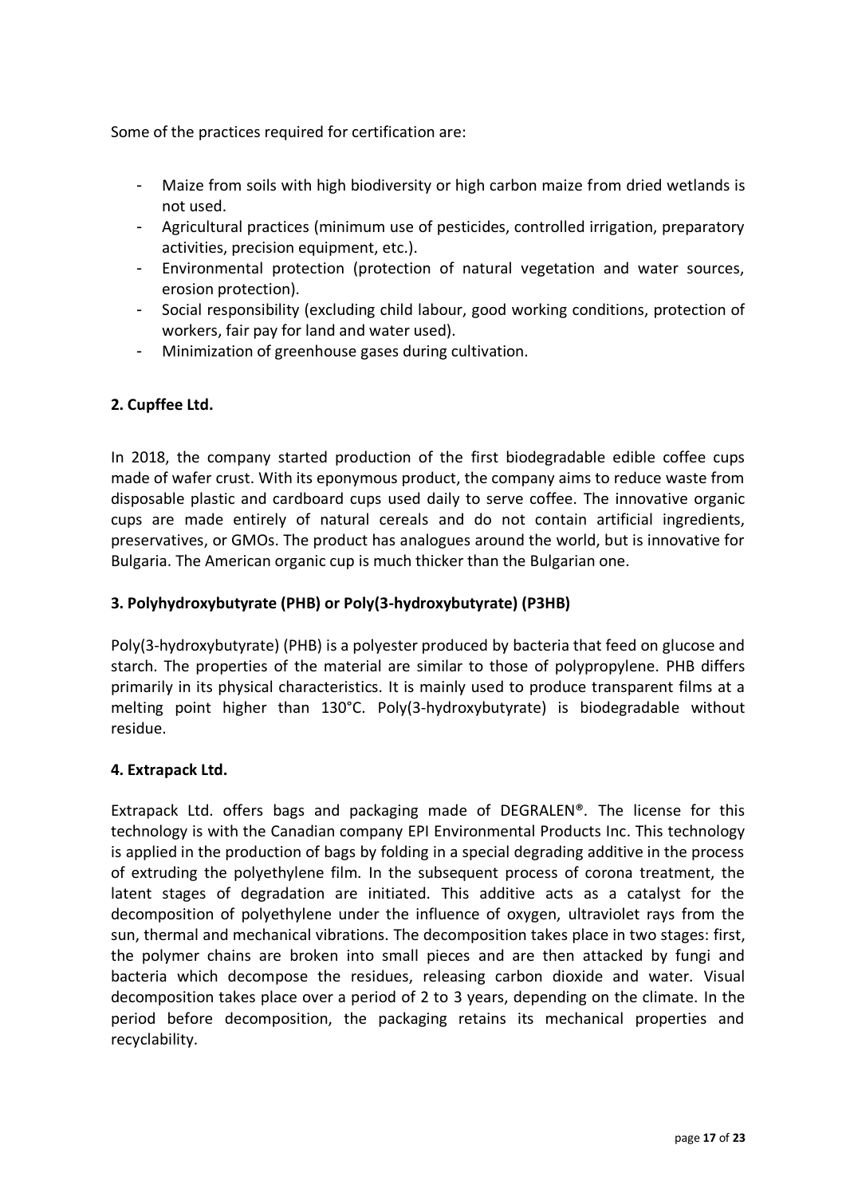Some of the practices required for certification are:

- Maize from soils with high biodiversity or high carbon maize from dried wetlands is not used.
- Agricultural practices (minimum use of pesticides, controlled irrigation, preparatory activities, precision equipment, etc.).
- Environmental protection (protection of natural vegetation and water sources, erosion protection).
- Social responsibility (excluding child labour, good working conditions, protection of workers, fair pay for land and water used).
- Minimization of greenhouse gases during cultivation.

#### **2. Cupffee Ltd.**

In 2018, the company started production of the first biodegradable edible coffee cups made of wafer crust. With its eponymous product, the company aims to reduce waste from disposable plastic and cardboard cups used daily to serve coffee. The innovative organic cups are made entirely of natural cereals and do not contain artificial ingredients, preservatives, or GMOs. The product has analogues around the world, but is innovative for Bulgaria. The American organic cup is much thicker than the Bulgarian one.

#### **3. Polyhydroxybutyrate (PHB) or Poly(3-hydroxybutyrate) (P3HB)**

Poly(3-hydroxybutyrate) (PHB) is a polyester produced by bacteria that feed on glucose and starch. The properties of the material are similar to those of polypropylene. PHB differs primarily in its physical characteristics. It is mainly used to produce transparent films at a melting point higher than 130°C. Poly(3-hydroxybutyrate) is biodegradable without residue.

#### **4. Extrapack Ltd.**

Extrapack Ltd. offers bags and packaging made of DEGRALEN®. The license for this technology is with the Canadian company EPI Environmental Products Inc. This technology is applied in the production of bags by folding in a special degrading additive in the process of extruding the polyethylene film. In the subsequent process of corona treatment, the latent stages of degradation are initiated. This additive acts as a catalyst for the decomposition of polyethylene under the influence of oxygen, ultraviolet rays from the sun, thermal and mechanical vibrations. The decomposition takes place in two stages: first, the polymer chains are broken into small pieces and are then attacked by fungi and bacteria which decompose the residues, releasing carbon dioxide and water. Visual decomposition takes place over a period of 2 to 3 years, depending on the climate. In the period before decomposition, the packaging retains its mechanical properties and recyclability.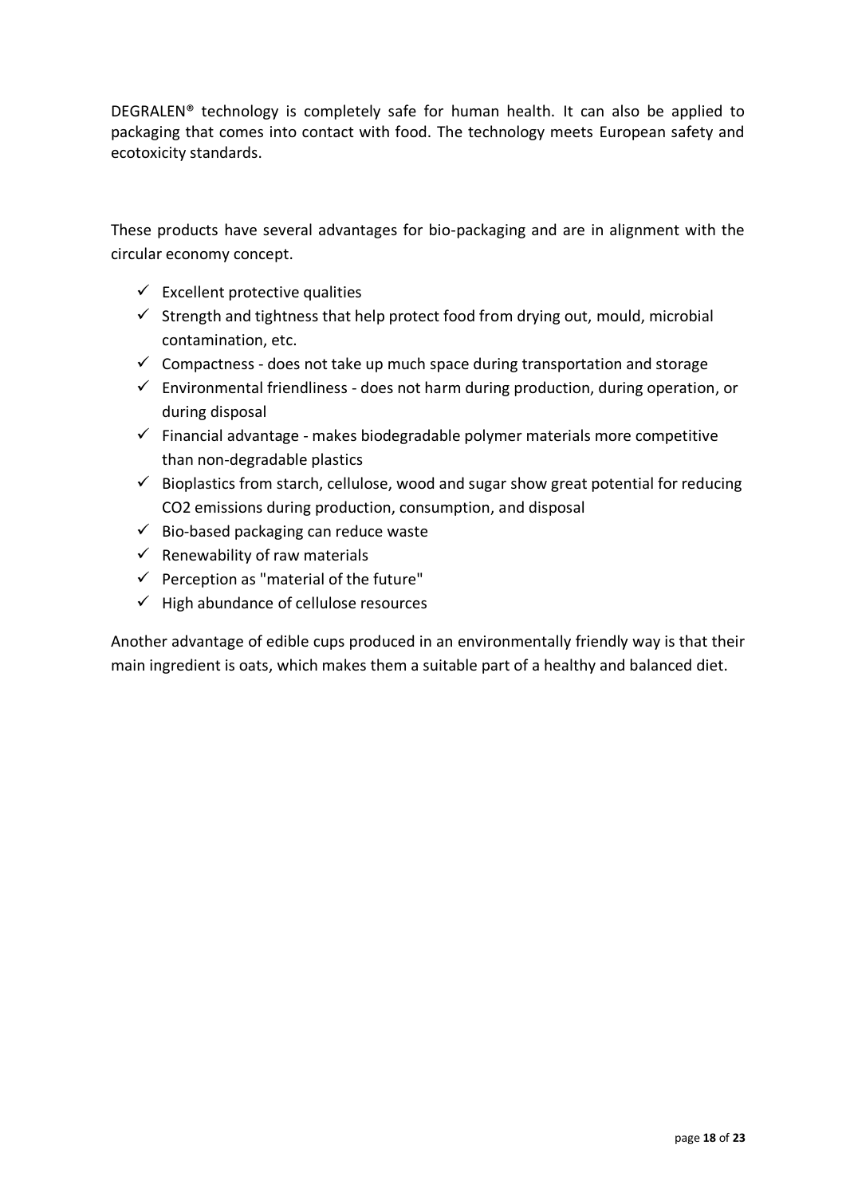DEGRALEN® technology is completely safe for human health. It can also be applied to packaging that comes into contact with food. The technology meets European safety and ecotoxicity standards.

These products have several advantages for bio-packaging and are in alignment with the circular economy concept.

- $\checkmark$  Excellent protective qualities
- $\checkmark$  Strength and tightness that help protect food from drying out, mould, microbial contamination, etc.
- $\checkmark$  Compactness does not take up much space during transportation and storage
- $\checkmark$  Environmental friendliness does not harm during production, during operation, or during disposal
- $\checkmark$  Financial advantage makes biodegradable polymer materials more competitive than non-degradable plastics
- $\checkmark$  Bioplastics from starch, cellulose, wood and sugar show great potential for reducing CO2 emissions during production, consumption, and disposal
- $\checkmark$  Bio-based packaging can reduce waste
- $\checkmark$  Renewability of raw materials
- $\checkmark$  Perception as "material of the future"
- ✓ High abundance of cellulose resources

Another advantage of edible cups produced in an environmentally friendly way is that their main ingredient is oats, which makes them a suitable part of a healthy and balanced diet.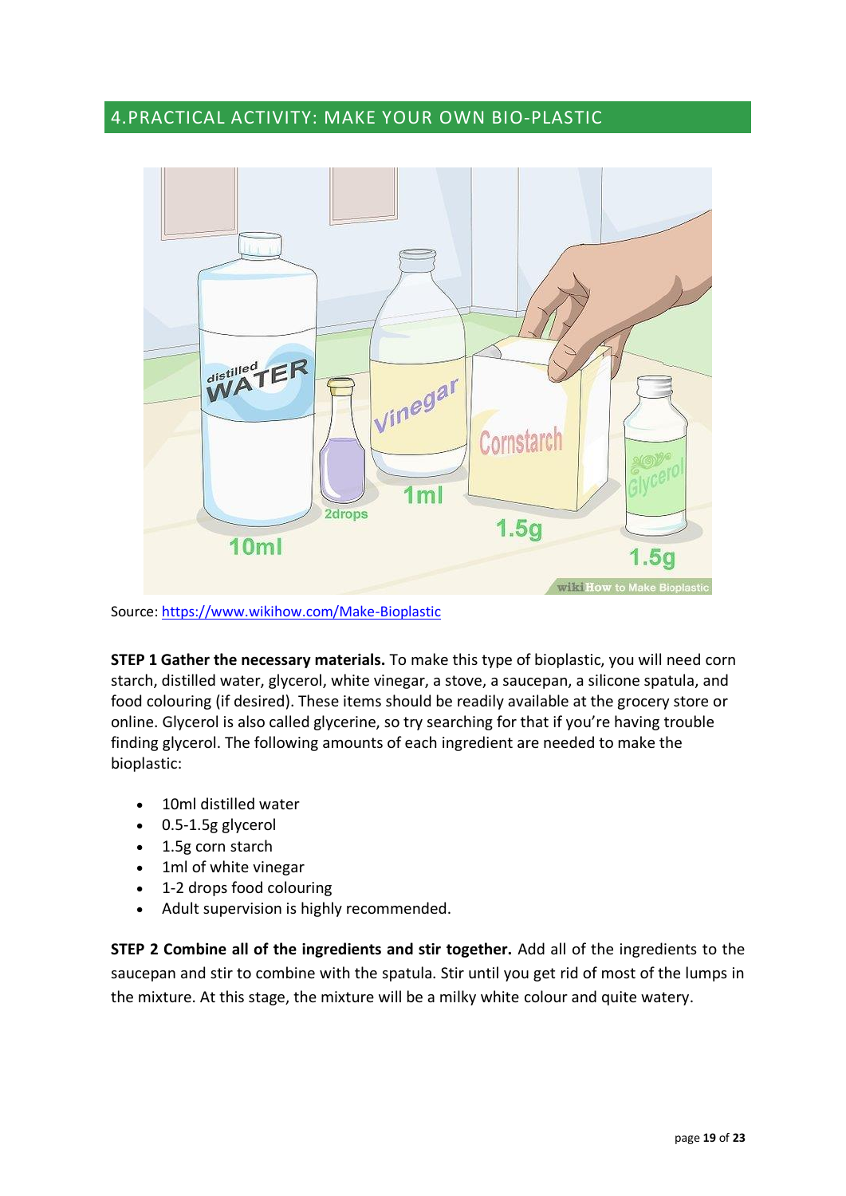### 4.PRACTICAL ACTIVITY: MAKE YOUR OWN BIO-PLASTIC



Source:<https://www.wikihow.com/Make-Bioplastic>

**STEP 1 Gather the necessary materials.** To make this type of bioplastic, you will need corn starch, distilled water, glycerol, white vinegar, a stove, a saucepan, a silicone spatula, and food colouring (if desired). These items should be readily available at the grocery store or online. Glycerol is also called glycerine, so try searching for that if you're having trouble finding glycerol. The following amounts of each ingredient are needed to make the bioplastic:

- 10ml distilled water
- 0.5-1.5g glycerol
- 1.5g corn starch
- 1ml of white vinegar
- 1-2 drops food colouring
- Adult supervision is highly recommended.

**STEP 2 Combine all of the ingredients and stir together.** Add all of the ingredients to the saucepan and stir to combine with the spatula. Stir until you get rid of most of the lumps in the mixture. At this stage, the mixture will be a milky white colour and quite watery.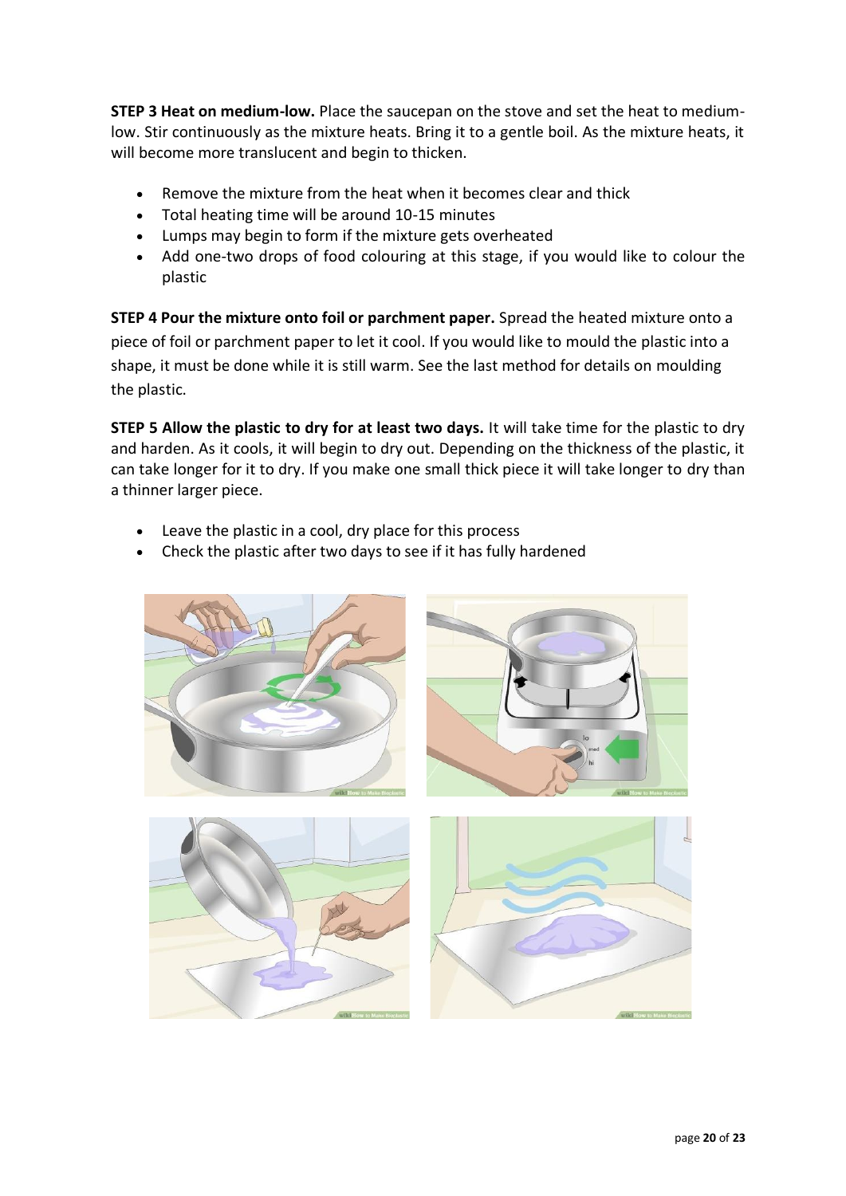**STEP 3 Heat on medium-low.** Place the saucepan on the stove and set the heat to mediumlow. Stir continuously as the mixture heats. Bring it to a gentle boil. As the mixture heats, it will become more translucent and begin to thicken.

- Remove the mixture from the heat when it becomes clear and thick
- Total heating time will be around 10-15 minutes
- Lumps may begin to form if the mixture gets overheated
- Add one-two drops of food colouring at this stage, if you would like to colour the plastic

**STEP 4 Pour the mixture onto foil or parchment paper.** Spread the heated mixture onto a piece of foil or parchment paper to let it cool. If you would like to mould the plastic into a shape, it must be done while it is still warm. See the last method for details on moulding the plastic.

**STEP 5 Allow the plastic to dry for at least two days.** It will take time for the plastic to dry and harden. As it cools, it will begin to dry out. Depending on the thickness of the plastic, it can take longer for it to dry. If you make one small thick piece it will take longer to dry than a thinner larger piece.

- Leave the plastic in a cool, dry place for this process
- Check the plastic after two days to see if it has fully hardened

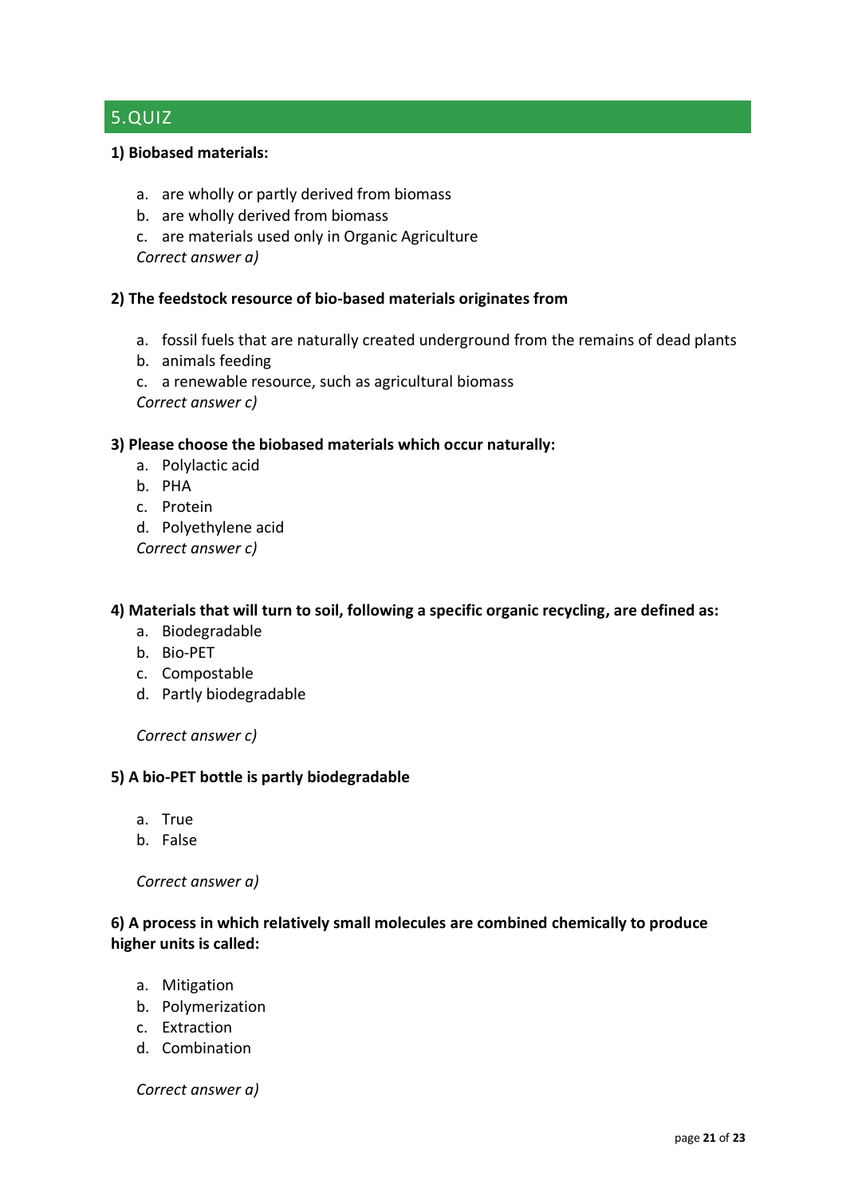# 5.QUIZ

#### **1) Biobased materials:**

- a. are wholly or partly derived from biomass
- b. are wholly derived from biomass
- c. are materials used only in Organic Agriculture

*Correct answer a)*

#### **2) The feedstock resource of bio-based materials originates from**

- a. fossil fuels that are naturally created underground from the remains of dead plants
- b. animals feeding
- c. a renewable resource, such as agricultural biomass

*Correct answer c)*

#### **3) Please choose the biobased materials which occur naturally:**

- a. Polylactic acid
- b. PHA
- c. Protein
- d. Polyethylene acid

*Correct answer c)*

#### **4) Materials that will turn to soil, following a specific organic recycling, are defined as:**

- a. Biodegradable
- b. Bio-PET
- c. Compostable
- d. Partly biodegradable

*Correct answer c)*

#### **5) A bio-PET bottle is partly biodegradable**

- a. True
- b. False

#### *Correct answer a)*

#### **6) A process in which relatively small molecules are combined chemically to produce higher units is called:**

- a. Mitigation
- b. Polymerization
- c. Extraction
- d. Combination

#### *Correct answer a)*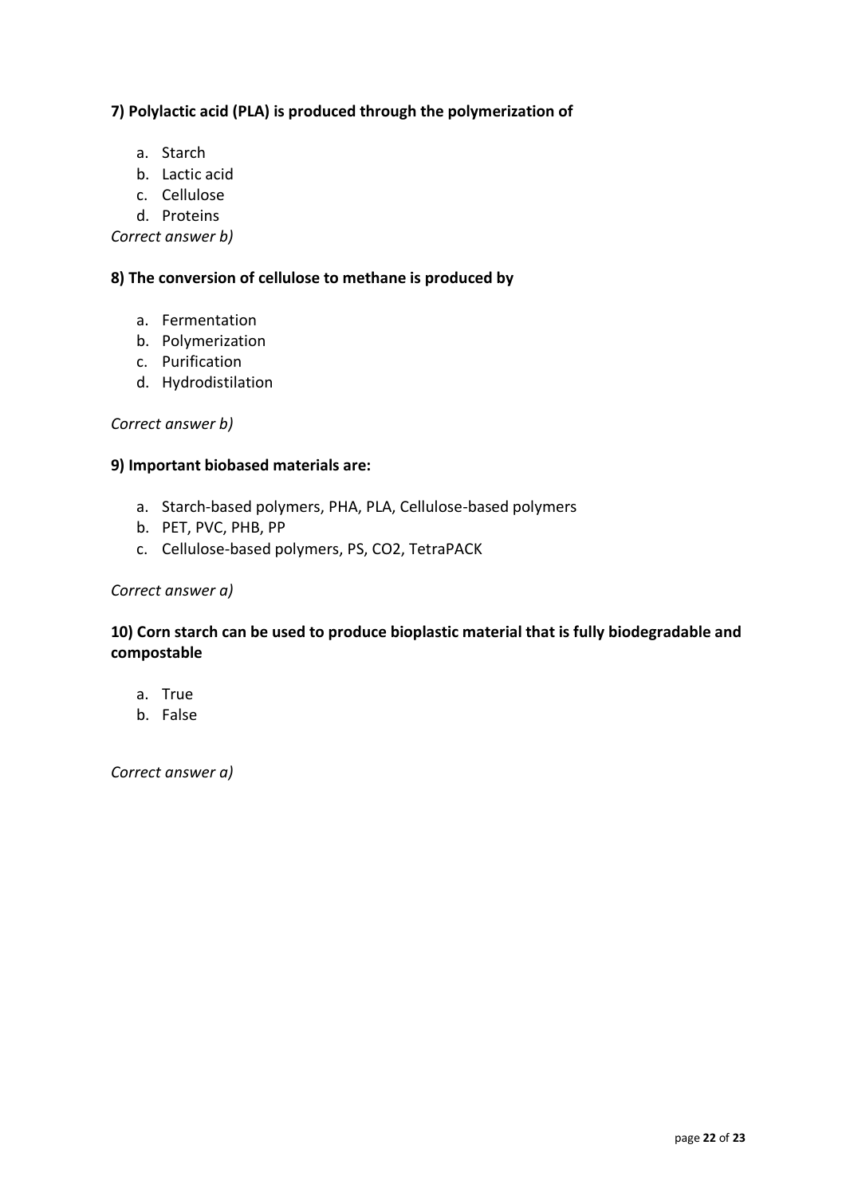#### **7) Polylactic acid (PLA) is produced through the polymerization of**

- a. Starch
- b. Lactic acid
- c. Cellulose
- d. Proteins

*Correct answer b)*

#### **8) The conversion of cellulose to methane is produced by**

- a. Fermentation
- b. Polymerization
- c. Purification
- d. Hydrodistilation

#### *Correct answer b)*

#### **9) Important biobased materials are:**

- a. Starch-based polymers, PHA, PLA, Cellulose-based polymers
- b. PET, PVC, PHB, PP
- c. Cellulose-based polymers, PS, CO2, TetraPACK

#### *Correct answer a)*

#### **10) Corn starch can be used to produce bioplastic material that is fully biodegradable and compostable**

- a. True
- b. False

*Correct answer a)*